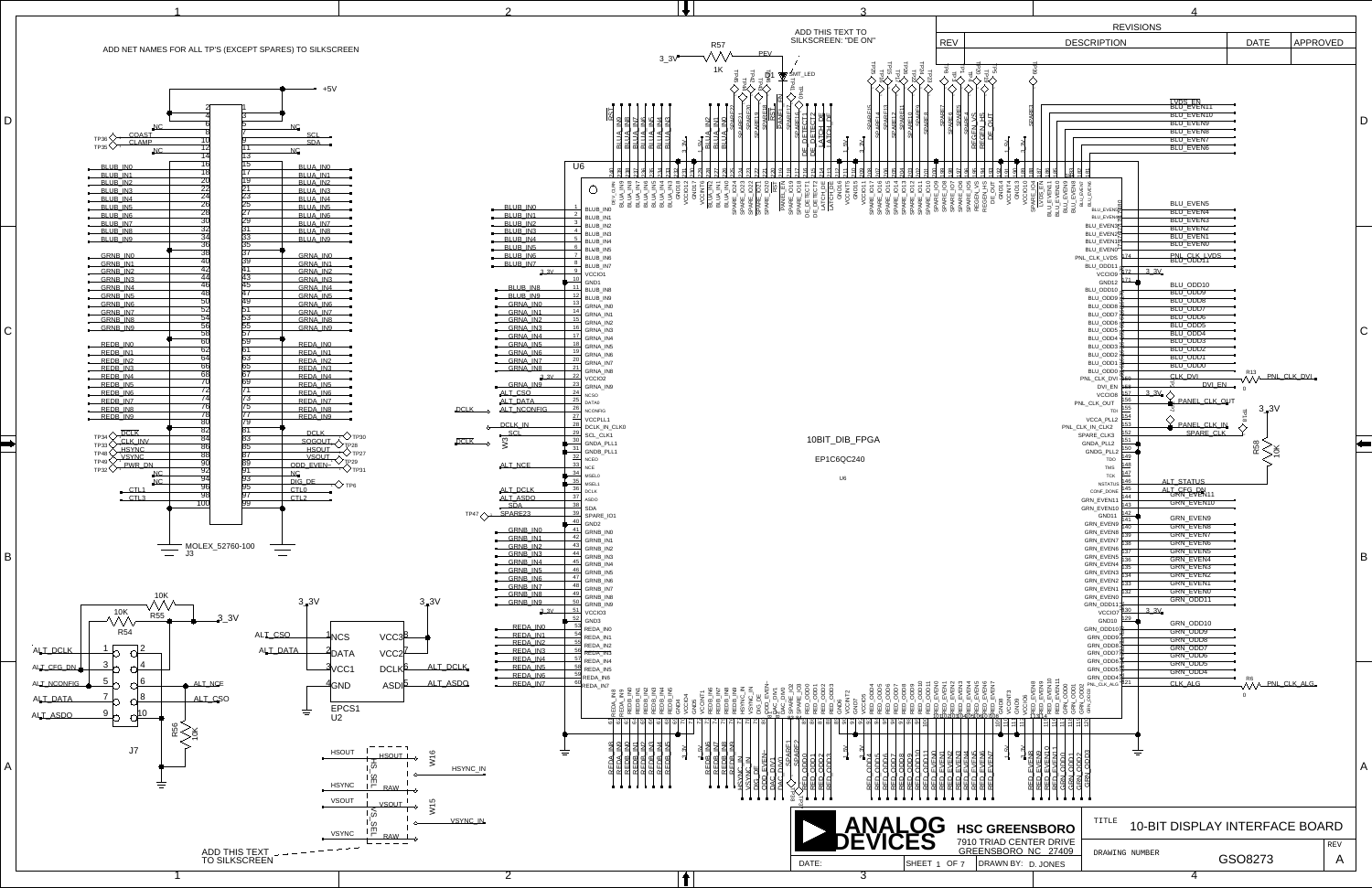<span id="page-0-273"></span><span id="page-0-272"></span><span id="page-0-271"></span><span id="page-0-270"></span><span id="page-0-269"></span><span id="page-0-268"></span><span id="page-0-267"></span><span id="page-0-266"></span><span id="page-0-265"></span><span id="page-0-264"></span><span id="page-0-263"></span><span id="page-0-262"></span><span id="page-0-261"></span><span id="page-0-260"></span><span id="page-0-259"></span><span id="page-0-258"></span><span id="page-0-257"></span><span id="page-0-256"></span><span id="page-0-255"></span><span id="page-0-254"></span><span id="page-0-253"></span><span id="page-0-252"></span><span id="page-0-251"></span><span id="page-0-250"></span><span id="page-0-249"></span><span id="page-0-248"></span><span id="page-0-247"></span><span id="page-0-246"></span><span id="page-0-245"></span><span id="page-0-244"></span><span id="page-0-243"></span><span id="page-0-242"></span><span id="page-0-241"></span><span id="page-0-240"></span><span id="page-0-239"></span><span id="page-0-238"></span><span id="page-0-237"></span><span id="page-0-236"></span><span id="page-0-235"></span><span id="page-0-234"></span><span id="page-0-233"></span><span id="page-0-232"></span><span id="page-0-231"></span><span id="page-0-230"></span><span id="page-0-229"></span><span id="page-0-228"></span><span id="page-0-227"></span><span id="page-0-226"></span><span id="page-0-225"></span><span id="page-0-224"></span><span id="page-0-223"></span><span id="page-0-222"></span><span id="page-0-221"></span><span id="page-0-220"></span><span id="page-0-219"></span><span id="page-0-218"></span><span id="page-0-217"></span><span id="page-0-216"></span><span id="page-0-215"></span><span id="page-0-214"></span><span id="page-0-213"></span><span id="page-0-212"></span><span id="page-0-211"></span><span id="page-0-210"></span><span id="page-0-209"></span><span id="page-0-208"></span><span id="page-0-207"></span><span id="page-0-206"></span><span id="page-0-205"></span><span id="page-0-204"></span><span id="page-0-203"></span><span id="page-0-202"></span><span id="page-0-201"></span><span id="page-0-200"></span><span id="page-0-199"></span><span id="page-0-198"></span><span id="page-0-197"></span><span id="page-0-196"></span><span id="page-0-195"></span><span id="page-0-194"></span><span id="page-0-193"></span><span id="page-0-192"></span><span id="page-0-191"></span><span id="page-0-190"></span><span id="page-0-189"></span><span id="page-0-188"></span><span id="page-0-187"></span><span id="page-0-186"></span><span id="page-0-185"></span><span id="page-0-184"></span><span id="page-0-183"></span><span id="page-0-182"></span><span id="page-0-181"></span><span id="page-0-180"></span><span id="page-0-179"></span><span id="page-0-178"></span><span id="page-0-177"></span><span id="page-0-176"></span><span id="page-0-175"></span><span id="page-0-174"></span><span id="page-0-173"></span><span id="page-0-172"></span><span id="page-0-171"></span><span id="page-0-170"></span><span id="page-0-169"></span><span id="page-0-168"></span><span id="page-0-167"></span><span id="page-0-166"></span><span id="page-0-165"></span><span id="page-0-164"></span><span id="page-0-163"></span><span id="page-0-162"></span><span id="page-0-161"></span><span id="page-0-160"></span><span id="page-0-159"></span><span id="page-0-158"></span><span id="page-0-157"></span><span id="page-0-156"></span><span id="page-0-155"></span><span id="page-0-154"></span><span id="page-0-153"></span><span id="page-0-152"></span><span id="page-0-151"></span><span id="page-0-150"></span><span id="page-0-149"></span><span id="page-0-148"></span><span id="page-0-147"></span><span id="page-0-146"></span><span id="page-0-145"></span><span id="page-0-144"></span><span id="page-0-143"></span><span id="page-0-142"></span><span id="page-0-141"></span><span id="page-0-140"></span><span id="page-0-139"></span><span id="page-0-138"></span><span id="page-0-137"></span><span id="page-0-136"></span><span id="page-0-135"></span><span id="page-0-134"></span><span id="page-0-133"></span><span id="page-0-132"></span><span id="page-0-131"></span><span id="page-0-130"></span><span id="page-0-129"></span><span id="page-0-128"></span><span id="page-0-127"></span><span id="page-0-126"></span><span id="page-0-125"></span><span id="page-0-124"></span><span id="page-0-123"></span><span id="page-0-122"></span><span id="page-0-121"></span><span id="page-0-120"></span><span id="page-0-119"></span><span id="page-0-118"></span><span id="page-0-117"></span><span id="page-0-116"></span><span id="page-0-115"></span><span id="page-0-114"></span><span id="page-0-113"></span><span id="page-0-112"></span><span id="page-0-111"></span><span id="page-0-110"></span><span id="page-0-109"></span><span id="page-0-108"></span><span id="page-0-107"></span><span id="page-0-106"></span><span id="page-0-105"></span><span id="page-0-104"></span><span id="page-0-103"></span><span id="page-0-102"></span><span id="page-0-101"></span><span id="page-0-100"></span><span id="page-0-99"></span><span id="page-0-98"></span><span id="page-0-97"></span><span id="page-0-96"></span><span id="page-0-95"></span><span id="page-0-94"></span><span id="page-0-93"></span><span id="page-0-92"></span><span id="page-0-91"></span><span id="page-0-90"></span><span id="page-0-89"></span><span id="page-0-88"></span><span id="page-0-87"></span><span id="page-0-86"></span><span id="page-0-85"></span><span id="page-0-84"></span><span id="page-0-83"></span><span id="page-0-82"></span><span id="page-0-81"></span><span id="page-0-80"></span><span id="page-0-79"></span><span id="page-0-78"></span><span id="page-0-77"></span><span id="page-0-76"></span><span id="page-0-75"></span><span id="page-0-74"></span><span id="page-0-73"></span><span id="page-0-72"></span><span id="page-0-71"></span><span id="page-0-70"></span><span id="page-0-69"></span><span id="page-0-68"></span><span id="page-0-67"></span><span id="page-0-66"></span><span id="page-0-65"></span><span id="page-0-64"></span><span id="page-0-63"></span><span id="page-0-62"></span><span id="page-0-61"></span><span id="page-0-60"></span><span id="page-0-59"></span><span id="page-0-58"></span><span id="page-0-57"></span><span id="page-0-56"></span><span id="page-0-55"></span><span id="page-0-54"></span><span id="page-0-53"></span><span id="page-0-52"></span><span id="page-0-51"></span><span id="page-0-50"></span><span id="page-0-49"></span><span id="page-0-48"></span><span id="page-0-47"></span><span id="page-0-46"></span><span id="page-0-45"></span><span id="page-0-44"></span><span id="page-0-43"></span><span id="page-0-42"></span><span id="page-0-41"></span><span id="page-0-40"></span><span id="page-0-39"></span><span id="page-0-38"></span><span id="page-0-37"></span><span id="page-0-36"></span><span id="page-0-35"></span><span id="page-0-34"></span><span id="page-0-33"></span><span id="page-0-32"></span><span id="page-0-31"></span><span id="page-0-30"></span><span id="page-0-29"></span><span id="page-0-28"></span><span id="page-0-27"></span><span id="page-0-26"></span><span id="page-0-25"></span><span id="page-0-24"></span><span id="page-0-23"></span><span id="page-0-22"></span><span id="page-0-21"></span><span id="page-0-20"></span><span id="page-0-19"></span><span id="page-0-18"></span><span id="page-0-17"></span><span id="page-0-16"></span><span id="page-0-15"></span><span id="page-0-14"></span><span id="page-0-13"></span><span id="page-0-12"></span><span id="page-0-11"></span><span id="page-0-10"></span><span id="page-0-9"></span><span id="page-0-8"></span><span id="page-0-7"></span><span id="page-0-6"></span><span id="page-0-5"></span><span id="page-0-4"></span><span id="page-0-3"></span><span id="page-0-2"></span><span id="page-0-1"></span><span id="page-0-0"></span>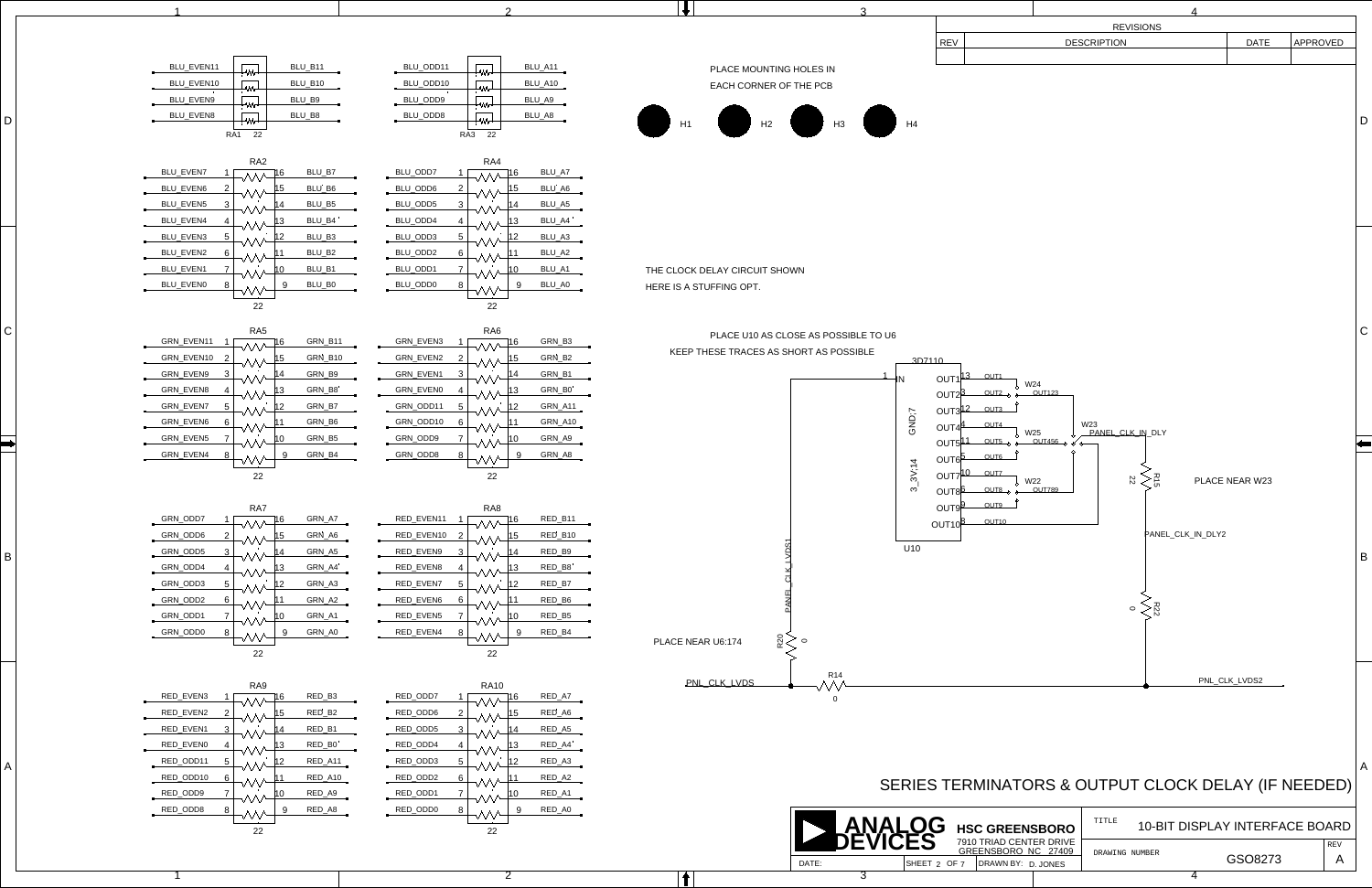<span id="page-1-94"></span>

<span id="page-1-112"></span><span id="page-1-111"></span><span id="page-1-31"></span><span id="page-1-30"></span><span id="page-1-29"></span><span id="page-1-28"></span><span id="page-1-27"></span><span id="page-1-11"></span><span id="page-1-6"></span>B

<span id="page-1-119"></span><span id="page-1-118"></span><span id="page-1-114"></span><span id="page-1-113"></span><span id="page-1-64"></span><span id="page-1-38"></span><span id="page-1-36"></span><span id="page-1-35"></span><span id="page-1-33"></span><span id="page-1-32"></span><span id="page-1-24"></span><span id="page-1-9"></span> $\left|\blacklozenge\right|$ 

<span id="page-1-121"></span><span id="page-1-120"></span><span id="page-1-117"></span><span id="page-1-93"></span><span id="page-1-92"></span><span id="page-1-75"></span><span id="page-1-74"></span><span id="page-1-73"></span><span id="page-1-71"></span><span id="page-1-68"></span><span id="page-1-65"></span><span id="page-1-52"></span><span id="page-1-49"></span><span id="page-1-48"></span><span id="page-1-46"></span><span id="page-1-44"></span><span id="page-1-42"></span><span id="page-1-40"></span><span id="page-1-37"></span><span id="page-1-4"></span><span id="page-1-3"></span> $\mathsf{C}$ 

<span id="page-1-72"></span><span id="page-1-66"></span><span id="page-1-50"></span><span id="page-1-41"></span><span id="page-1-25"></span><span id="page-1-10"></span><span id="page-1-5"></span>D

<span id="page-1-39"></span>

<span id="page-1-23"></span>

<span id="page-1-8"></span><span id="page-1-2"></span>

<span id="page-1-69"></span><span id="page-1-1"></span>

<span id="page-1-101"></span><span id="page-1-83"></span><span id="page-1-81"></span><span id="page-1-80"></span><span id="page-1-67"></span><span id="page-1-63"></span><span id="page-1-62"></span><span id="page-1-61"></span><span id="page-1-60"></span><span id="page-1-59"></span><span id="page-1-58"></span><span id="page-1-57"></span><span id="page-1-56"></span><span id="page-1-55"></span><span id="page-1-51"></span><span id="page-1-45"></span><span id="page-1-0"></span>

<span id="page-1-116"></span><span id="page-1-115"></span><span id="page-1-109"></span><span id="page-1-91"></span><span id="page-1-89"></span><span id="page-1-88"></span><span id="page-1-87"></span><span id="page-1-86"></span><span id="page-1-85"></span><span id="page-1-84"></span><span id="page-1-79"></span><span id="page-1-78"></span><span id="page-1-77"></span><span id="page-1-76"></span><span id="page-1-54"></span><span id="page-1-7"></span>

<span id="page-1-26"></span>

<span id="page-1-110"></span><span id="page-1-108"></span><span id="page-1-107"></span><span id="page-1-106"></span><span id="page-1-105"></span><span id="page-1-104"></span><span id="page-1-103"></span><span id="page-1-102"></span><span id="page-1-100"></span><span id="page-1-99"></span><span id="page-1-98"></span><span id="page-1-97"></span><span id="page-1-96"></span><span id="page-1-95"></span><span id="page-1-90"></span><span id="page-1-82"></span><span id="page-1-70"></span><span id="page-1-53"></span><span id="page-1-47"></span><span id="page-1-43"></span><span id="page-1-34"></span><span id="page-1-22"></span><span id="page-1-21"></span><span id="page-1-20"></span><span id="page-1-19"></span><span id="page-1-18"></span><span id="page-1-17"></span><span id="page-1-16"></span><span id="page-1-15"></span><span id="page-1-14"></span><span id="page-1-13"></span><span id="page-1-12"></span>

|                                                                |                                                          |                                        |                                        |                                |                                                              | <b>REVISIONS</b>                                    |                |          |  |
|----------------------------------------------------------------|----------------------------------------------------------|----------------------------------------|----------------------------------------|--------------------------------|--------------------------------------------------------------|-----------------------------------------------------|----------------|----------|--|
|                                                                |                                                          |                                        |                                        | <b>REV</b>                     |                                                              | <b>DESCRIPTION</b>                                  | <b>DATE</b>    | APPROVED |  |
|                                                                |                                                          |                                        |                                        |                                |                                                              |                                                     |                |          |  |
| BLU_EVEN11<br>BLU_B11                                          | BLU_ODD11<br>BLU_A11<br>w.                               | PLACE MOUNTING HOLES IN                |                                        |                                |                                                              |                                                     |                |          |  |
| BLU_EVEN10<br>BLU_B10                                          | BLU_ODD10<br>BLU_A10                                     | EACH CORNER OF THE PCB                 |                                        |                                |                                                              |                                                     |                |          |  |
| BLU_EVEN9<br>BLU_B9                                            | BLU_ODD9<br>BLU_A9                                       |                                        |                                        |                                |                                                              |                                                     |                |          |  |
| BLU_EVEN8<br>BLU_B8                                            | BLU_ODD8<br>BLU_A8                                       |                                        |                                        |                                |                                                              |                                                     |                |          |  |
| RA1 22                                                         | RA3 22                                                   |                                        |                                        |                                |                                                              |                                                     |                |          |  |
|                                                                |                                                          |                                        |                                        |                                |                                                              |                                                     |                |          |  |
| RA <sub>2</sub><br>BLU_EVEN7<br>BLU_B7                         | RA4<br>BLU_ODD7<br>BLU_A7<br>16                          |                                        |                                        |                                |                                                              |                                                     |                |          |  |
| $\Lambda\Lambda\Lambda$<br>BLU_EVEN6<br>BLU_B6                 | $\wedge\wedge\wedge$<br>$BLU$ _ODD6<br>BLU_A6<br>15      |                                        |                                        |                                |                                                              |                                                     |                |          |  |
| ヘヘヘ<br>BLU_EVEN5<br>BLU_B5<br>3                                | BLU_ODD5<br>BLU_A5<br>14                                 |                                        |                                        |                                |                                                              |                                                     |                |          |  |
| ヘヘヘ<br>BLU_EVEN4<br>BLU_B4                                     | $\wedge\!\wedge\!\wedge$<br>BLU_ODD4<br>BLU_A4<br>13.    |                                        |                                        |                                |                                                              |                                                     |                |          |  |
| ヽ∧∧<br>BLU_EVEN3<br>BLU_B3<br>-5                               | BLU_ODD3<br>BLU_A3                                       |                                        |                                        |                                |                                                              |                                                     |                |          |  |
| $\land\land\land$<br>BLU_EVEN2<br>BLU_B2<br>6                  | BLU_ODD2<br>BLU_A2                                       |                                        |                                        |                                |                                                              |                                                     |                |          |  |
| ヽ∧∧<br>BLU_EVEN1<br>BLU_B1                                     | BLU_ODD1<br>BLU_A1<br>10.                                | THE CLOCK DELAY CIRCUIT SHOWN          |                                        |                                |                                                              |                                                     |                |          |  |
| BLU_EVEN0<br>BLU_B0<br>-8                                      | BLU_ODD0<br>BLU_A0<br>9                                  |                                        |                                        |                                |                                                              |                                                     |                |          |  |
|                                                                |                                                          | HERE IS A STUFFING OPT.                |                                        |                                |                                                              |                                                     |                |          |  |
| 22                                                             | 22                                                       |                                        |                                        |                                |                                                              |                                                     |                |          |  |
| RA5                                                            | RA6                                                      |                                        |                                        |                                |                                                              |                                                     |                |          |  |
| GRN_EVEN11 1<br>GRN_B11<br>$\wedge\wedge\wedge$                | GRN_EVEN3<br>GRN_B3<br>МV                                |                                        | PLACE U10 AS CLOSE AS POSSIBLE TO U6   |                                |                                                              |                                                     |                |          |  |
| GRN_EVEN10 2<br>GRN_B10                                        | GRN_EVEN2<br>GRN_B2<br>- 2<br>15                         | KEEP THESE TRACES AS SHORT AS POSSIBLE |                                        | 3D7110                         |                                                              |                                                     |                |          |  |
| GRN_EVEN9<br>GRN_B9<br>3<br>ヘヘヘ                                | GRN_EVEN1<br>GRN_B1<br>- 3<br>14<br>$\wedge\wedge\wedge$ |                                        |                                        | OUT1 <sup>13</sup>             | $_{\mathrm{OUT1}}$                                           |                                                     |                |          |  |
| GRN_EVEN8<br>GRN_B8<br>-4<br>ヘヘヘ                               | GRN_EVEN0<br>GRN_B0<br>-4<br><b>WV</b>                   |                                        |                                        | OUT2 <sup>5</sup>              | ↓ W24<br>$-$ OUT2 $_{\odot}$ $_{\odot}$ $-$<br><b>OUT123</b> |                                                     |                |          |  |
| GRN_EVEN7<br>GRN_B7<br>-5<br>ヘヘヘ                               | GRN_ODD11 5<br>GRN_A11<br>12<br><b>WV</b>                |                                        |                                        | OUT3 <sup>12</sup>             | OUT3                                                         |                                                     |                |          |  |
| GRN_EVEN6<br>GRN_B6<br>6<br>∧∧∧                                | GRN_ODD10 6<br>GRN_A10<br>$\mathcal{N}\mathcal{N}$       |                                        | GND;7                                  | OUT4 $\mu$                     | OUT4                                                         | W23                                                 |                |          |  |
| GRN_EVEN5<br>GRN_B5<br>$\wedge\wedge\wedge$                    | GRN_ODD9<br>GRN_A9<br>10.<br><b>WV</b>                   |                                        |                                        |                                | $\sqrt{25}$<br>$OUT5^{11}$ $OUT500$ $\frac{6}{9}$ $OUT45600$ | PANEL CLK_IN_DLY                                    |                |          |  |
| GRN_EVEN4<br>GRN_B4<br>-8<br>МV                                | GRN_ODD8<br>GRN_A8<br>9<br>$\mathcal{W}$                 |                                        |                                        | OUT6 <sup>b</sup>              | OUT6                                                         |                                                     |                |          |  |
| 22                                                             | 22                                                       |                                        | 3V; 14                                 | OUT7 <sup>10</sup>             | OUT7                                                         |                                                     |                |          |  |
|                                                                |                                                          |                                        | ო                                      | OUT <sub>8</sub> <sup>b</sup>  | W22<br>$-$ OUT8 $_{\odot}$ $\sim$ OUT789                     | > 꼰<br>$\mathbb{Z}$                                 | PLACE NEAR W23 |          |  |
| RA7                                                            | RA8                                                      |                                        |                                        | OUT9 <sup>9</sup>              | OUT9                                                         |                                                     |                |          |  |
| GRN_ODD7<br>GRN_A7<br>1 <sup>1</sup><br><b>MM</b>              | RED_EVEN11<br>RED_B11<br>16.<br>w.                       |                                        |                                        | OUT <sub>10</sub> <sup>E</sup> | OUT <sub>10</sub>                                            |                                                     |                |          |  |
| GRN_A6<br>GRN_ODD6<br>∧∧∧                                      | RED_EVEN10 2<br>RED_B10<br>15                            |                                        |                                        |                                |                                                              | PANEL_CLK_IN_DLY2                                   |                |          |  |
| GRN_ODD5<br>GRN_A5<br>3<br>ヘヘハ                                 | RED_EVEN9<br>RED_B9<br>- 3<br>14<br>$\sim$               |                                        | U10                                    |                                |                                                              |                                                     |                |          |  |
| GRN_ODD4<br>GRN_A4<br>\\^                                      | RED_EVEN8<br>RED_B8<br>13.<br>МV                         |                                        |                                        |                                |                                                              |                                                     |                |          |  |
| GRN_ODD3<br>GRN_A3<br>5<br>$\wedge\wedge\wedge$                | RED_EVEN7<br>RED_B7<br>12<br>MM                          |                                        |                                        |                                |                                                              |                                                     |                |          |  |
| GRN_ODD2<br>GRN_A2<br>-6<br>W∼                                 | RED_EVEN6<br>RED_B6<br>-6<br>$\mathcal{NN}$              |                                        |                                        |                                |                                                              |                                                     |                |          |  |
| GRN_ODD1<br>GRN_A1<br>$\overline{7}$<br>$\land\land\land\quad$ | RED_EVEN5<br>RED_B5<br>10<br>WV-                         |                                        |                                        |                                |                                                              | $\log \zeta$                                        |                |          |  |
| GRN_ODD0<br>GRN_A0<br>8<br>9<br>۸Ŵ                             | RED_EVEN4<br>RED_B4<br>9<br>- 8                          |                                        |                                        |                                |                                                              |                                                     |                |          |  |
| 22                                                             | 22                                                       | ន្ថ $\gtrless$<br>PLACE NEAR U6:174    | $\circ$                                |                                |                                                              |                                                     |                |          |  |
|                                                                |                                                          |                                        |                                        |                                |                                                              |                                                     |                |          |  |
| RA9                                                            | <b>RA10</b>                                              | PNL_CLK_LVDS                           | <b>R14</b><br>$\mathcal{N}\mathcal{N}$ |                                |                                                              |                                                     | PNL_CLK_LVDS2  |          |  |
| RED_EVEN3<br>RED_B3<br>1 <sup>1</sup><br>$\wedge\wedge\wedge$  | RED_ODD7<br>RED_A7<br>16<br>$\sim$                       |                                        | $\mathbf 0$                            |                                |                                                              |                                                     |                |          |  |
| RED_EVEN2<br>RED_B2<br>2<br>\A/                                | RED_ODD6<br>RED_A6<br>15.                                |                                        |                                        |                                |                                                              |                                                     |                |          |  |
| RED_EVEN1<br>RED_B1<br>3<br>VV.                                | RED_ODD5<br>RED_A5<br>14<br>$\wedge\wedge\wedge$         |                                        |                                        |                                |                                                              |                                                     |                |          |  |
| RED_EVEN0<br>RED_B0<br>M^                                      | RED_ODD4<br>RED_A4<br>МM                                 |                                        |                                        |                                |                                                              |                                                     |                |          |  |
| RED_ODD11<br>RED_A11<br>5<br>∧∧                                | RED_ODD3<br>RED_A3<br>-5<br>12.                          |                                        |                                        |                                |                                                              |                                                     |                |          |  |
| RED_ODD10<br>RED_A10<br>6<br>ヘヘヘ                               | RED_ODD2<br>RED_A2<br>-6<br>WV.                          |                                        |                                        |                                |                                                              |                                                     |                |          |  |
| $RED$ ODD9<br>RED_A9<br>$\land\land\land$                      | $RED$ ODD1<br>RED_A1<br>10.<br>w.                        |                                        |                                        |                                |                                                              | SERIES TERMINATORS & OUTPUT CLOCK DELAY (IF NEEDED) |                |          |  |
| RED_ODD8<br>RED_A8<br>8<br>v₩                                  | RED_ODD0<br>RED_A0<br>9<br>-8<br>₩                       |                                        |                                        |                                |                                                              |                                                     |                |          |  |
| 22                                                             | 22                                                       |                                        |                                        |                                | <b>HSC GREENSBORO</b>                                        | TITLE<br>10-BIT DISPLAY INTERFACE BOARD             |                |          |  |
|                                                                |                                                          |                                        |                                        |                                | 7910 TRIAD CENTER DRIVE<br>GREENSBORO NC 27409               |                                                     |                | REV      |  |
|                                                                |                                                          |                                        | DATE:                                  |                                | SHEET 2 OF 7 DRAWN BY: D. JONES                              | DRAWING NUMBER                                      | GSO8273        | A        |  |
|                                                                |                                                          |                                        |                                        |                                |                                                              |                                                     |                |          |  |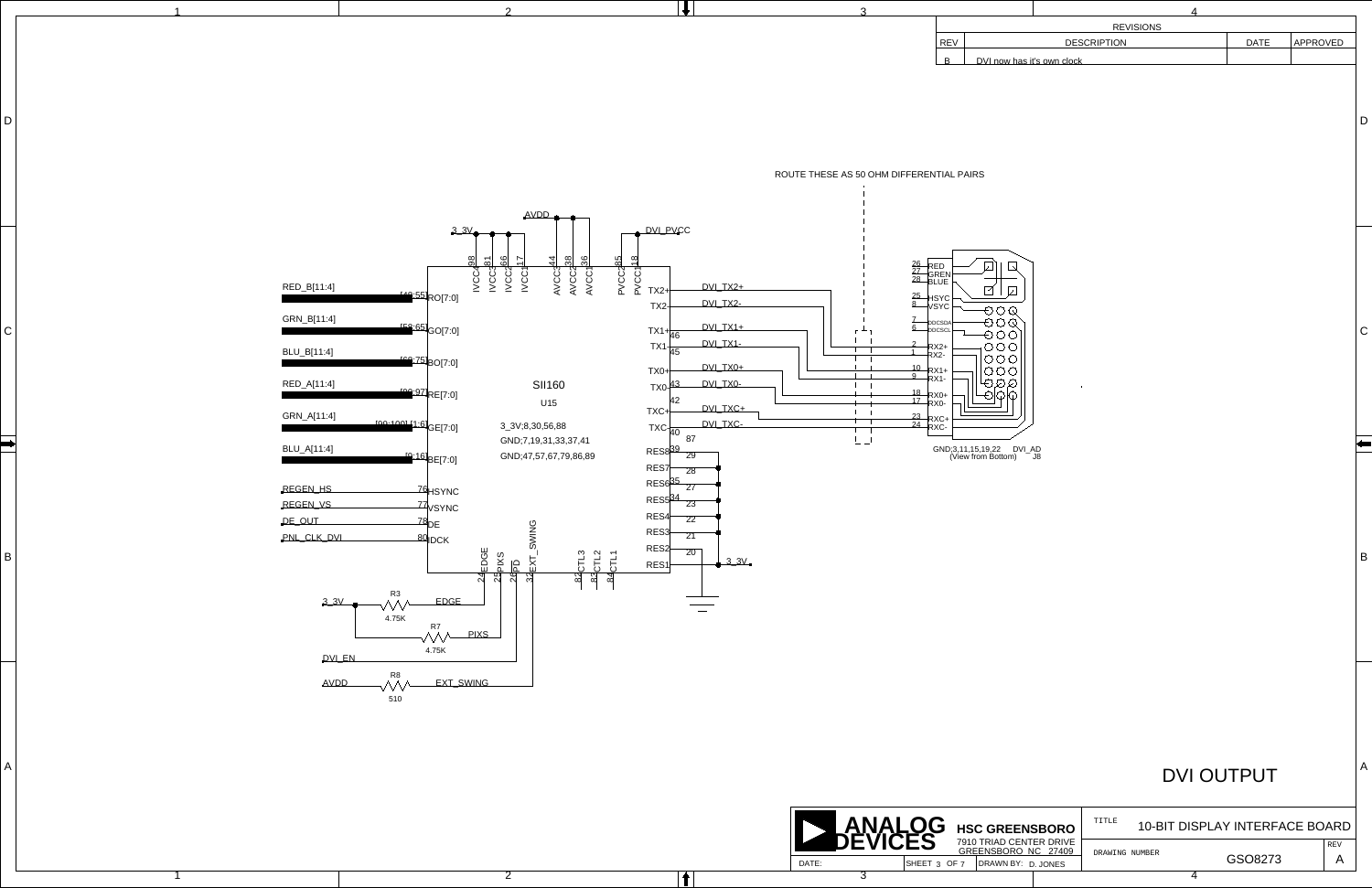B

C

D

A

<span id="page-2-6"></span><span id="page-2-5"></span><span id="page-2-4"></span><span id="page-2-1"></span>B

<span id="page-2-0"></span> $\vert$ 

 $D$ 

|  | $\mathbf{v}$ |     |                    |      |          |
|--|--------------|-----|--------------------|------|----------|
|  |              |     | <b>REVISIONS</b>   |      |          |
|  |              | REV | <b>DESCRIPTION</b> | DATE | APPROVED |
|  |              |     | as it's own clock  |      |          |

<span id="page-2-8"></span><span id="page-2-2"></span>

REV

TITLE

GSO8273

<span id="page-2-9"></span><span id="page-2-3"></span>ROUTE THESE AS 50 OHM DIFFERENTIAL PAIRS

## DVI OUTPUT

### 10-BIT DISPLAY INTERFACE BOARD

A

<span id="page-2-10"></span><span id="page-2-7"></span>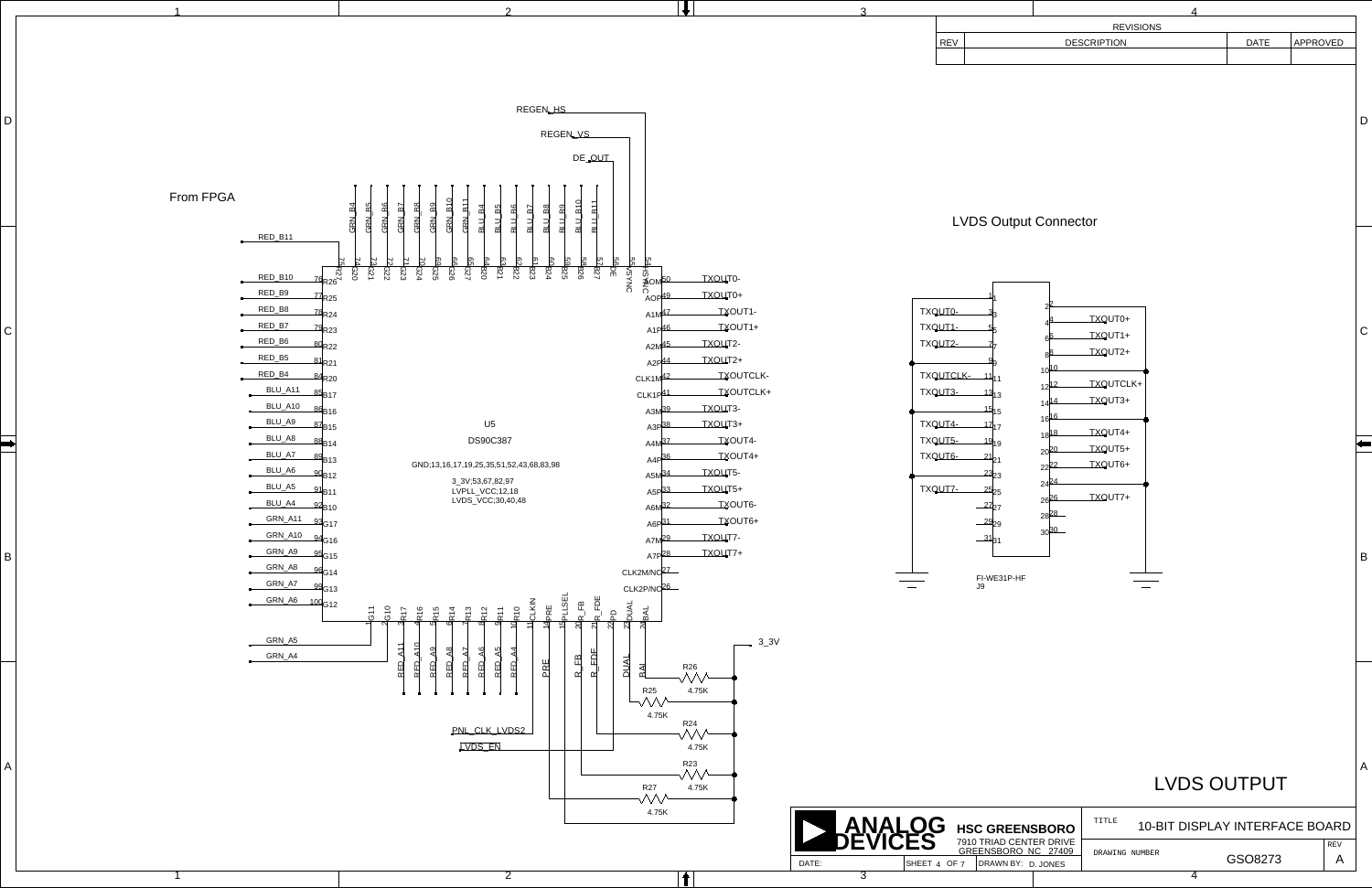B

 $\Gamma$ 

D

<span id="page-3-50"></span><span id="page-3-49"></span><span id="page-3-48"></span><span id="page-3-47"></span><span id="page-3-46"></span><span id="page-3-45"></span><span id="page-3-44"></span><span id="page-3-43"></span><span id="page-3-42"></span><span id="page-3-41"></span><span id="page-3-40"></span><span id="page-3-39"></span><span id="page-3-37"></span><span id="page-3-34"></span><span id="page-3-33"></span><span id="page-3-32"></span><span id="page-3-31"></span><span id="page-3-30"></span><span id="page-3-28"></span><span id="page-3-27"></span><span id="page-3-26"></span><span id="page-3-25"></span><span id="page-3-24"></span><span id="page-3-23"></span><span id="page-3-21"></span><span id="page-3-20"></span><span id="page-3-19"></span><span id="page-3-17"></span><span id="page-3-16"></span><span id="page-3-15"></span><span id="page-3-14"></span><span id="page-3-13"></span><span id="page-3-12"></span><span id="page-3-11"></span><span id="page-3-10"></span><span id="page-3-3"></span><span id="page-3-2"></span><span id="page-3-1"></span>

<span id="page-3-53"></span><span id="page-3-51"></span><span id="page-3-38"></span><span id="page-3-18"></span>

|            | <b>REVISIONS</b> |                    |  |      |          |  |  |  |  |
|------------|------------------|--------------------|--|------|----------|--|--|--|--|
| <b>REV</b> |                  | <b>DESCRIPTION</b> |  | DATE | APPROVED |  |  |  |  |
|            |                  |                    |  |      |          |  |  |  |  |
|            |                  |                    |  |      |          |  |  |  |  |

<span id="page-3-52"></span><span id="page-3-29"></span><span id="page-3-22"></span><span id="page-3-9"></span><span id="page-3-8"></span><span id="page-3-7"></span><span id="page-3-6"></span><span id="page-3-5"></span><span id="page-3-4"></span><span id="page-3-0"></span>**HSC GREENSBORO**

REV A

TITLE 10-BIT DISPLAY INTERFACE BOARD

GSO8273

# LVDS OUTPUT

## <span id="page-3-89"></span><span id="page-3-88"></span><span id="page-3-87"></span><span id="page-3-85"></span><span id="page-3-83"></span><span id="page-3-81"></span><span id="page-3-79"></span><span id="page-3-77"></span><span id="page-3-76"></span><span id="page-3-75"></span><span id="page-3-74"></span><span id="page-3-73"></span><span id="page-3-71"></span><span id="page-3-70"></span><span id="page-3-69"></span><span id="page-3-67"></span><span id="page-3-66"></span><span id="page-3-65"></span><span id="page-3-63"></span><span id="page-3-61"></span><span id="page-3-59"></span><span id="page-3-57"></span><span id="page-3-55"></span><span id="page-3-36"></span><span id="page-3-35"></span>LVDS Output Connector

<span id="page-3-86"></span><span id="page-3-84"></span><span id="page-3-82"></span><span id="page-3-80"></span><span id="page-3-78"></span><span id="page-3-72"></span><span id="page-3-68"></span><span id="page-3-64"></span><span id="page-3-62"></span><span id="page-3-60"></span><span id="page-3-58"></span><span id="page-3-56"></span><span id="page-3-54"></span>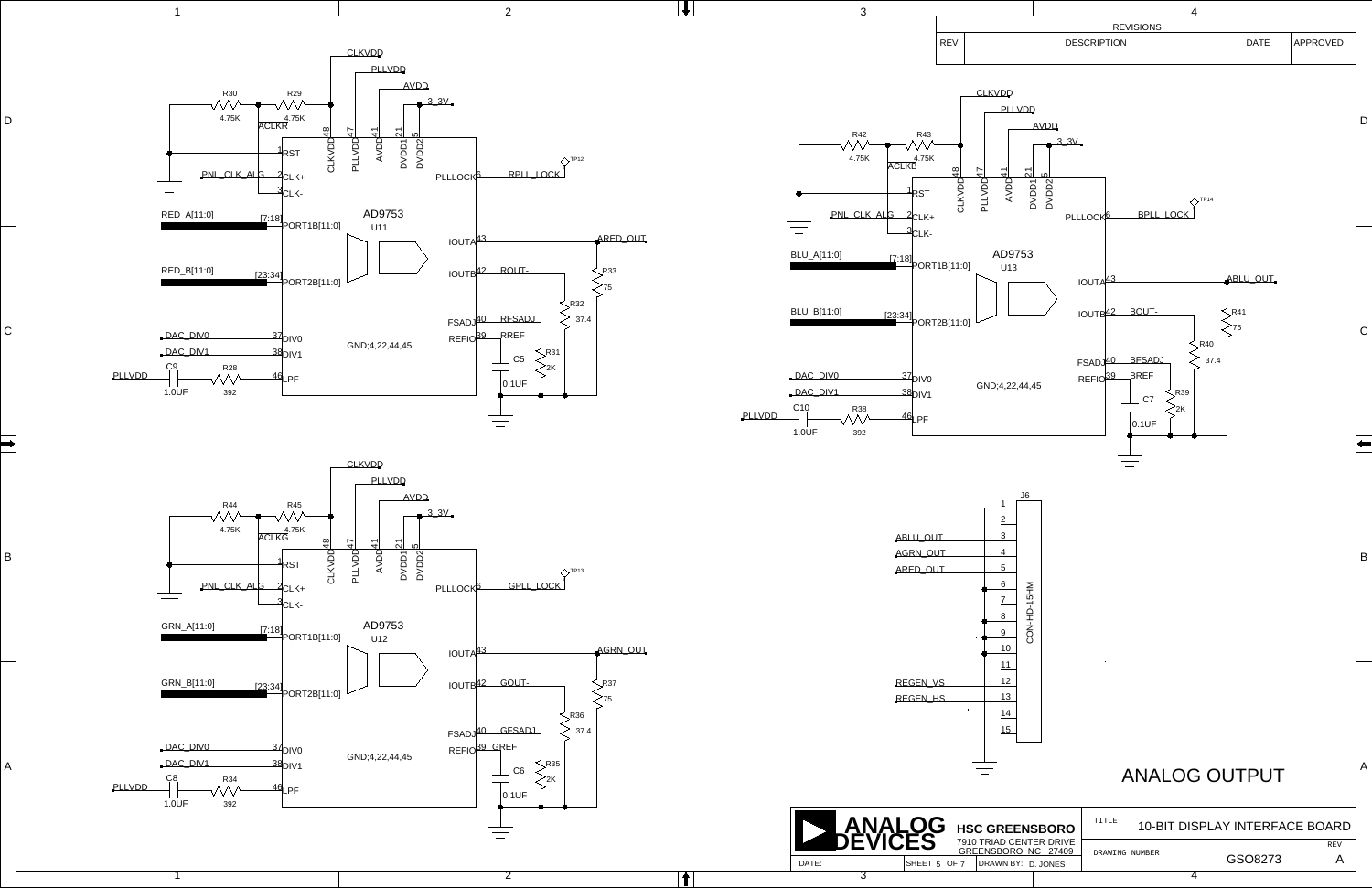<span id="page-4-16"></span><span id="page-4-12"></span><span id="page-4-10"></span>B

<span id="page-4-15"></span><span id="page-4-1"></span><span id="page-4-0"></span> $\mathsf{C}\mid$ 

D<sup>1</sup>

<span id="page-4-31"></span><span id="page-4-24"></span><span id="page-4-20"></span><span id="page-4-19"></span><span id="page-4-8"></span>

<span id="page-4-27"></span>

<span id="page-4-30"></span><span id="page-4-17"></span><span id="page-4-6"></span><span id="page-4-3"></span><span id="page-4-2"></span>



<span id="page-4-29"></span><span id="page-4-28"></span><span id="page-4-25"></span><span id="page-4-23"></span><span id="page-4-22"></span><span id="page-4-21"></span><span id="page-4-18"></span><span id="page-4-14"></span><span id="page-4-13"></span><span id="page-4-11"></span><span id="page-4-9"></span><span id="page-4-7"></span><span id="page-4-5"></span><span id="page-4-4"></span> $\equiv$ 

<span id="page-4-26"></span>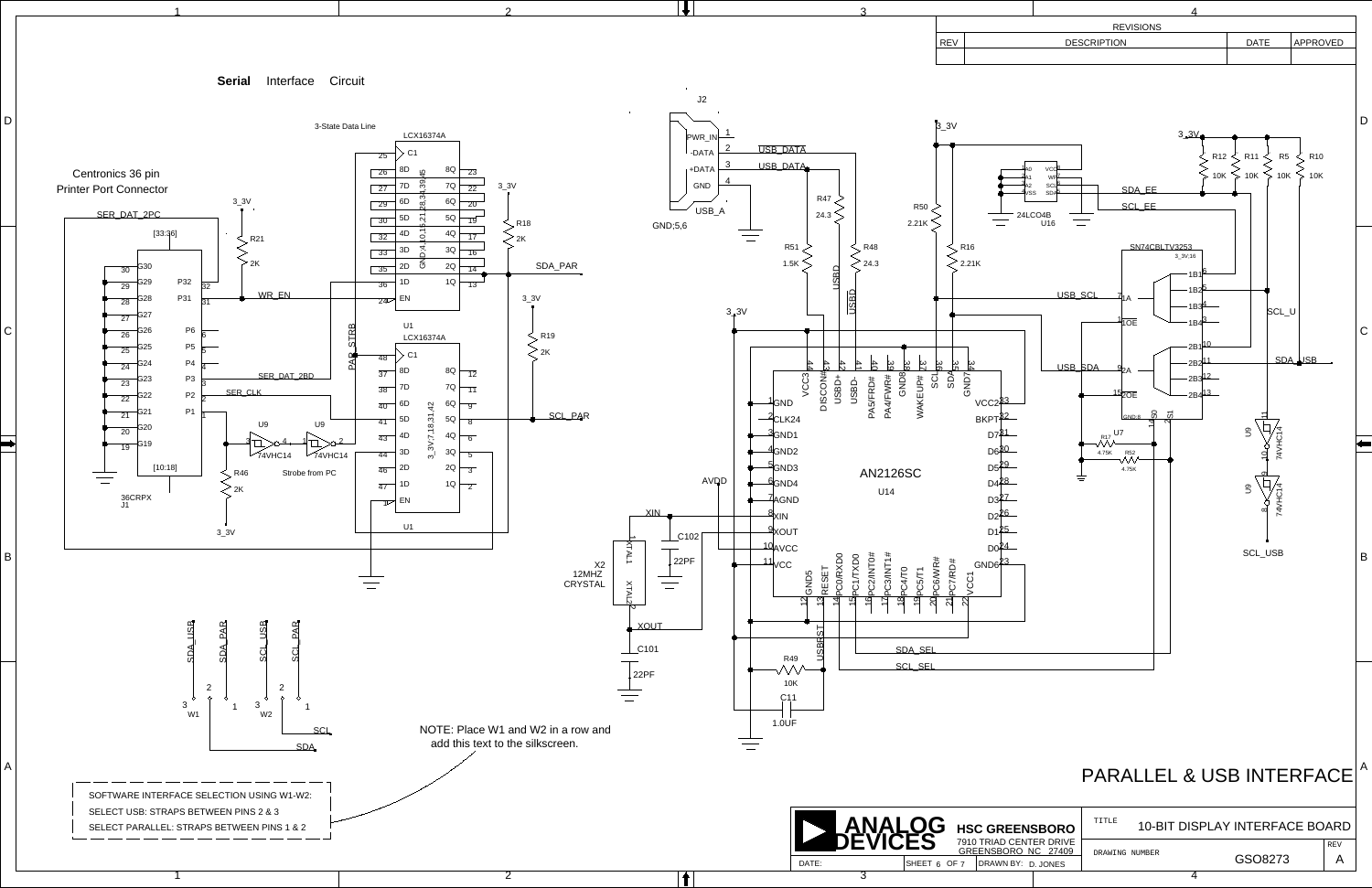<span id="page-5-17"></span><span id="page-5-16"></span><span id="page-5-15"></span><span id="page-5-14"></span><span id="page-5-6"></span>

<span id="page-5-11"></span><span id="page-5-9"></span><span id="page-5-7"></span><span id="page-5-5"></span><span id="page-5-4"></span><span id="page-5-3"></span><span id="page-5-1"></span><span id="page-5-0"></span>

<span id="page-5-13"></span><span id="page-5-12"></span><span id="page-5-10"></span><span id="page-5-8"></span><span id="page-5-2"></span>